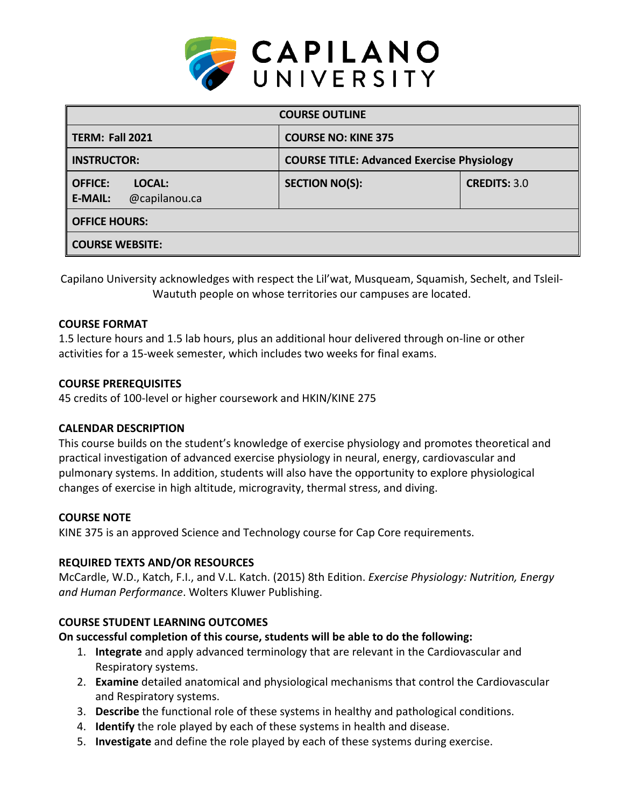

| <b>COURSE OUTLINE</b>                                       |                                                   |                     |  |  |  |
|-------------------------------------------------------------|---------------------------------------------------|---------------------|--|--|--|
| <b>TERM: Fall 2021</b>                                      | <b>COURSE NO: KINE 375</b>                        |                     |  |  |  |
| <b>INSTRUCTOR:</b>                                          | <b>COURSE TITLE: Advanced Exercise Physiology</b> |                     |  |  |  |
| <b>OFFICE:</b><br>LOCAL:<br>@capilanou.ca<br><b>E-MAIL:</b> | <b>SECTION NO(S):</b>                             | <b>CREDITS: 3.0</b> |  |  |  |
| <b>OFFICE HOURS:</b>                                        |                                                   |                     |  |  |  |
| <b>COURSE WEBSITE:</b>                                      |                                                   |                     |  |  |  |

Capilano University acknowledges with respect the Lil'wat, Musqueam, Squamish, Sechelt, and Tsleil-Waututh people on whose territories our campuses are located.

# **COURSE FORMAT**

1.5 lecture hours and 1.5 lab hours, plus an additional hour delivered through on-line or other activities for a 15-week semester, which includes two weeks for final exams.

#### **COURSE PREREQUISITES**

45 credits of 100-level or higher coursework and HKIN/KINE 275

# **CALENDAR DESCRIPTION**

This course builds on the student's knowledge of exercise physiology and promotes theoretical and practical investigation of advanced exercise physiology in neural, energy, cardiovascular and pulmonary systems. In addition, students will also have the opportunity to explore physiological changes of exercise in high altitude, microgravity, thermal stress, and diving.

# **COURSE NOTE**

KINE 375 is an approved Science and Technology course for Cap Core requirements.

# **REQUIRED TEXTS AND/OR RESOURCES**

McCardle, W.D., Katch, F.I., and V.L. Katch. (2015) 8th Edition. *Exercise Physiology: Nutrition, Energy and Human Performance*. Wolters Kluwer Publishing.

# **COURSE STUDENT LEARNING OUTCOMES**

# **On successful completion of this course, students will be able to do the following:**

- 1. **Integrate** and apply advanced terminology that are relevant in the Cardiovascular and Respiratory systems.
- 2. **Examine** detailed anatomical and physiological mechanisms that control the Cardiovascular and Respiratory systems.
- 3. **Describe** the functional role of these systems in healthy and pathological conditions.
- 4. **Identify** the role played by each of these systems in health and disease.
- 5. **Investigate** and define the role played by each of these systems during exercise.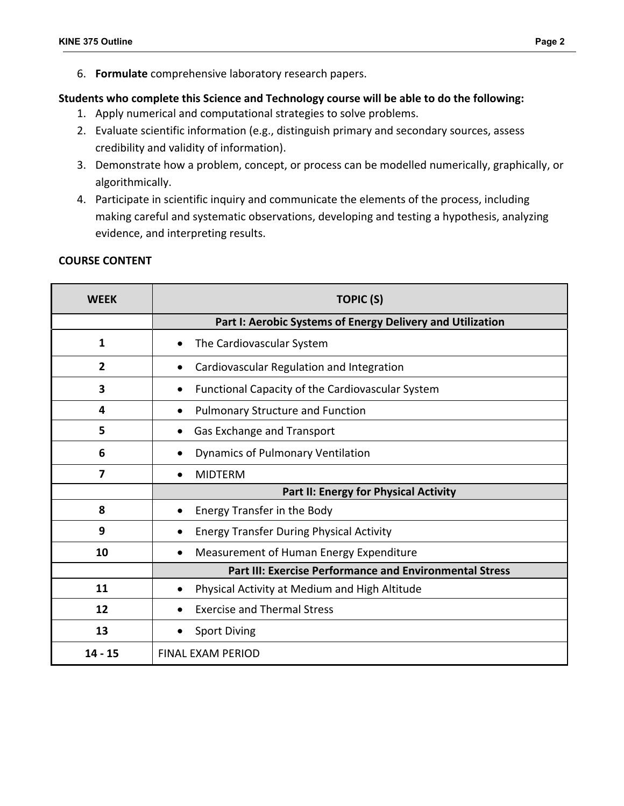6. **Formulate** comprehensive laboratory research papers.

# **Students who complete this Science and Technology course will be able to do the following:**

- 1. Apply numerical and computational strategies to solve problems.
- 2. Evaluate scientific information (e.g., distinguish primary and secondary sources, assess credibility and validity of information).
- 3. Demonstrate how a problem, concept, or process can be modelled numerically, graphically, or algorithmically.
- 4. Participate in scientific inquiry and communicate the elements of the process, including making careful and systematic observations, developing and testing a hypothesis, analyzing evidence, and interpreting results.

# **COURSE CONTENT**

| <b>WEEK</b>    | <b>TOPIC (S)</b>                                               |  |  |
|----------------|----------------------------------------------------------------|--|--|
|                | Part I: Aerobic Systems of Energy Delivery and Utilization     |  |  |
| 1              | The Cardiovascular System<br>$\bullet$                         |  |  |
| $\overline{2}$ | Cardiovascular Regulation and Integration                      |  |  |
| 3              | Functional Capacity of the Cardiovascular System<br>$\bullet$  |  |  |
| 4              | <b>Pulmonary Structure and Function</b><br>$\bullet$           |  |  |
| 5              | Gas Exchange and Transport                                     |  |  |
| 6              | <b>Dynamics of Pulmonary Ventilation</b>                       |  |  |
| 7              | <b>MIDTERM</b>                                                 |  |  |
|                | <b>Part II: Energy for Physical Activity</b>                   |  |  |
| 8              | Energy Transfer in the Body<br>$\bullet$                       |  |  |
| 9              | <b>Energy Transfer During Physical Activity</b><br>$\bullet$   |  |  |
| 10             | Measurement of Human Energy Expenditure<br>$\bullet$           |  |  |
|                | <b>Part III: Exercise Performance and Environmental Stress</b> |  |  |
| 11             | Physical Activity at Medium and High Altitude<br>$\bullet$     |  |  |
| 12             | <b>Exercise and Thermal Stress</b>                             |  |  |
| 13             | <b>Sport Diving</b>                                            |  |  |
| 14 - 15        | <b>FINAL EXAM PERIOD</b>                                       |  |  |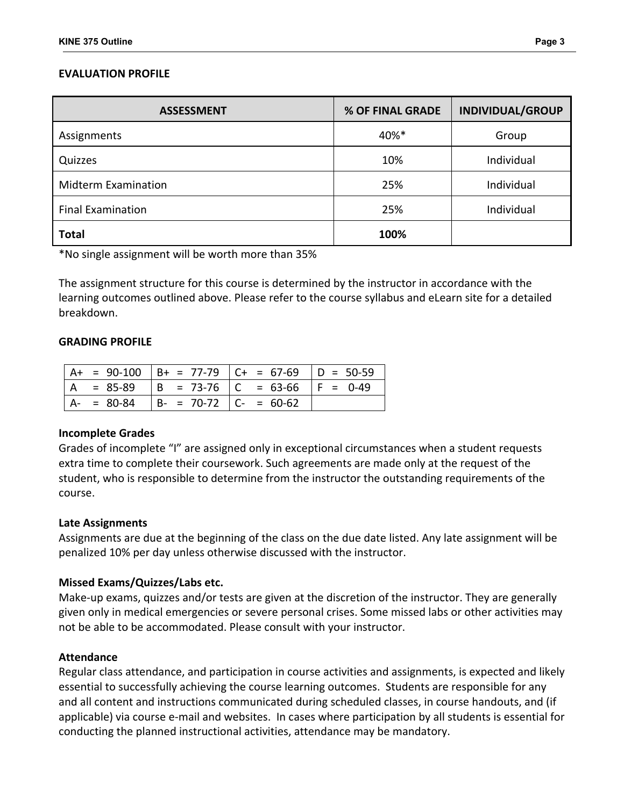# **EVALUATION PROFILE**

| <b>ASSESSMENT</b>          | % OF FINAL GRADE | <b>INDIVIDUAL/GROUP</b> |
|----------------------------|------------------|-------------------------|
| Assignments                | 40%*             | Group                   |
| Quizzes                    | 10%              | Individual              |
| <b>Midterm Examination</b> | 25%              | Individual              |
| <b>Final Examination</b>   | 25%              | Individual              |
| <b>Total</b>               | 100%             |                         |

\*No single assignment will be worth more than 35%

The assignment structure for this course is determined by the instructor in accordance with the learning outcomes outlined above. Please refer to the course syllabus and eLearn site for a detailed breakdown.

#### **GRADING PROFILE**

|     |            |                               | $A+ = 90-100$ $B+ = 77-79$ $C+ = 67-69$ $D = 50-59$ |  |
|-----|------------|-------------------------------|-----------------------------------------------------|--|
| l A | $= 85-89$  |                               | $  B = 73-76   C = 63-66   F = 0-49$                |  |
|     | A- = 80-84 | $  B - = 70-72   C - = 60-62$ |                                                     |  |

#### **Incomplete Grades**

Grades of incomplete "I" are assigned only in exceptional circumstances when a student requests extra time to complete their coursework. Such agreements are made only at the request of the student, who is responsible to determine from the instructor the outstanding requirements of the course.

#### **Late Assignments**

Assignments are due at the beginning of the class on the due date listed. Any late assignment will be penalized 10% per day unless otherwise discussed with the instructor.

#### **Missed Exams/Quizzes/Labs etc.**

Make-up exams, quizzes and/or tests are given at the discretion of the instructor. They are generally given only in medical emergencies or severe personal crises. Some missed labs or other activities may not be able to be accommodated. Please consult with your instructor.

#### **Attendance**

Regular class attendance, and participation in course activities and assignments, is expected and likely essential to successfully achieving the course learning outcomes. Students are responsible for any and all content and instructions communicated during scheduled classes, in course handouts, and (if applicable) via course e-mail and websites. In cases where participation by all students is essential for conducting the planned instructional activities, attendance may be mandatory.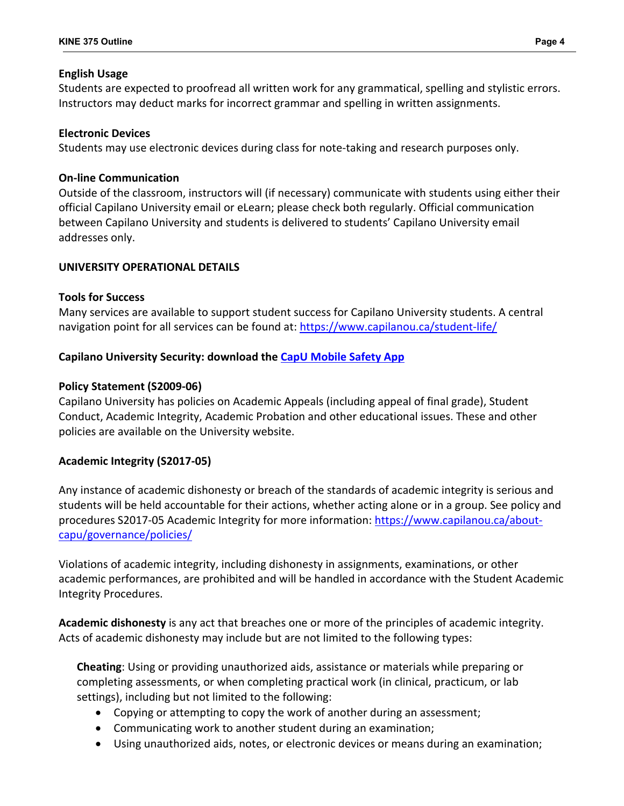#### **English Usage**

Students are expected to proofread all written work for any grammatical, spelling and stylistic errors. Instructors may deduct marks for incorrect grammar and spelling in written assignments.

# **Electronic Devices**

Students may use electronic devices during class for note-taking and research purposes only.

#### **On-line Communication**

Outside of the classroom, instructors will (if necessary) communicate with students using either their official Capilano University email or eLearn; please check both regularly. Official communication between Capilano University and students is delivered to students' Capilano University email addresses only.

#### **UNIVERSITY OPERATIONAL DETAILS**

#### **Tools for Success**

Many services are available to support student success for Capilano University students. A central navigation point for all services can be found at:<https://www.capilanou.ca/student-life/>

# **Capilano University Security: download the [CapU Mobile Safety App](https://www.capilanou.ca/services/safety-security/CapU-Mobile-Safety-App/)**

#### **Policy Statement (S2009-06)**

Capilano University has policies on Academic Appeals (including appeal of final grade), Student Conduct, Academic Integrity, Academic Probation and other educational issues. These and other policies are available on the University website.

# **Academic Integrity (S2017-05)**

Any instance of academic dishonesty or breach of the standards of academic integrity is serious and students will be held accountable for their actions, whether acting alone or in a group. See policy and procedures S2017-05 Academic Integrity for more information: [https://www.capilanou.ca/about](https://www.capilanou.ca/about-capu/governance/policies/)[capu/governance/policies/](https://www.capilanou.ca/about-capu/governance/policies/)

Violations of academic integrity, including dishonesty in assignments, examinations, or other academic performances, are prohibited and will be handled in accordance with the Student Academic Integrity Procedures.

**Academic dishonesty** is any act that breaches one or more of the principles of academic integrity. Acts of academic dishonesty may include but are not limited to the following types:

**Cheating**: Using or providing unauthorized aids, assistance or materials while preparing or completing assessments, or when completing practical work (in clinical, practicum, or lab settings), including but not limited to the following:

- Copying or attempting to copy the work of another during an assessment;
- Communicating work to another student during an examination;
- Using unauthorized aids, notes, or electronic devices or means during an examination;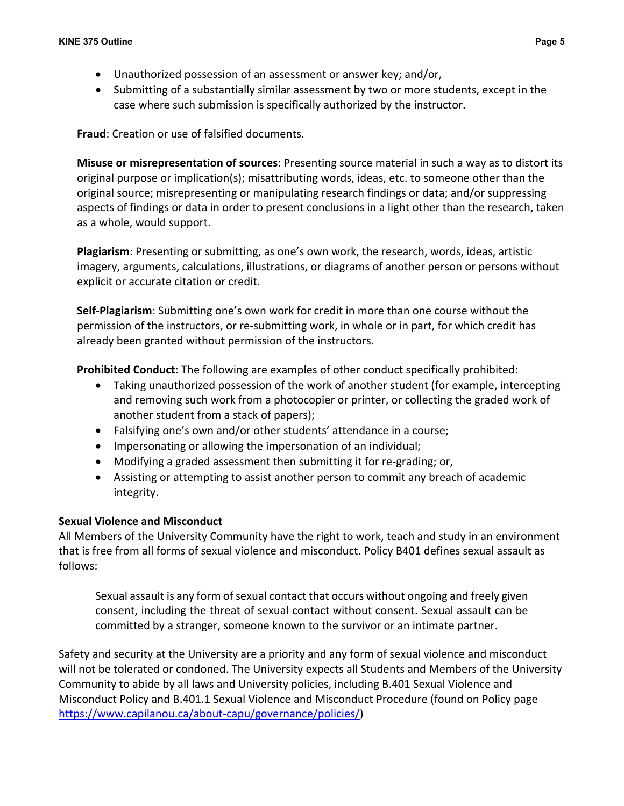- Unauthorized possession of an assessment or answer key; and/or,
- Submitting of a substantially similar assessment by two or more students, except in the case where such submission is specifically authorized by the instructor.

**Fraud**: Creation or use of falsified documents.

**Misuse or misrepresentation of sources**: Presenting source material in such a way as to distort its original purpose or implication(s); misattributing words, ideas, etc. to someone other than the original source; misrepresenting or manipulating research findings or data; and/or suppressing aspects of findings or data in order to present conclusions in a light other than the research, taken as a whole, would support.

**Plagiarism**: Presenting or submitting, as one's own work, the research, words, ideas, artistic imagery, arguments, calculations, illustrations, or diagrams of another person or persons without explicit or accurate citation or credit.

**Self-Plagiarism**: Submitting one's own work for credit in more than one course without the permission of the instructors, or re-submitting work, in whole or in part, for which credit has already been granted without permission of the instructors.

**Prohibited Conduct**: The following are examples of other conduct specifically prohibited:

- Taking unauthorized possession of the work of another student (for example, intercepting and removing such work from a photocopier or printer, or collecting the graded work of another student from a stack of papers);
- Falsifying one's own and/or other students' attendance in a course;
- Impersonating or allowing the impersonation of an individual;
- Modifying a graded assessment then submitting it for re-grading; or,
- Assisting or attempting to assist another person to commit any breach of academic integrity.

# **Sexual Violence and Misconduct**

All Members of the University Community have the right to work, teach and study in an environment that is free from all forms of sexual violence and misconduct. Policy B401 defines sexual assault as follows:

Sexual assault is any form of sexual contact that occurs without ongoing and freely given consent, including the threat of sexual contact without consent. Sexual assault can be committed by a stranger, someone known to the survivor or an intimate partner.

Safety and security at the University are a priority and any form of sexual violence and misconduct will not be tolerated or condoned. The University expects all Students and Members of the University Community to abide by all laws and University policies, including B.401 Sexual Violence and Misconduct Policy and B.401.1 Sexual Violence and Misconduct Procedure (found on Policy page [https://www.capilanou.ca/about-capu/governance/policies/\)](https://www.capilanou.ca/about-capu/governance/policies/)